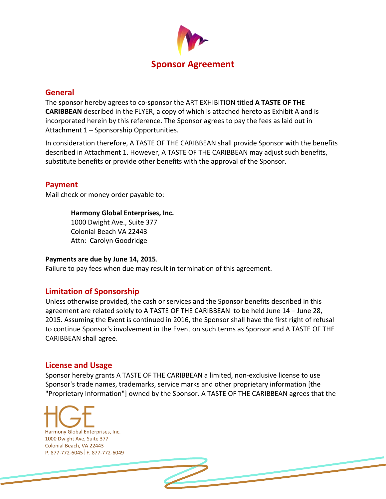

## **General**

The sponsor hereby agrees to co‐sponsor the ART EXHIBITION titled **A TASTE OF THE CARIBBEAN** described in the FLYER, a copy of which is attached hereto as Exhibit A and is incorporated herein by this reference. The Sponsor agrees to pay the fees as laid out in Attachment 1 – Sponsorship Opportunities.

In consideration therefore, A TASTE OF THE CARIBBEAN shall provide Sponsor with the benefits described in Attachment 1. However, A TASTE OF THE CARIBBEAN may adjust such benefits, substitute benefits or provide other benefits with the approval of the Sponsor.

## **Payment**

Mail check or money order payable to:

#### **Harmony Global Enterprises, Inc.**

1000 Dwight Ave., Suite 377 Colonial Beach VA 22443 Attn: Carolyn Goodridge

#### **Payments are due by June 14, 2015**.

Failure to pay fees when due may result in termination of this agreement.

# **Limitation of Sponsorship**

Unless otherwise provided, the cash or services and the Sponsor benefits described in this agreement are related solely to A TASTE OF THE CARIBBEAN to be held June 14 – June 28, 2015. Assuming the Event is continued in 2016, the Sponsor shall have the first right of refusal to continue Sponsor's involvement in the Event on such terms as Sponsor and A TASTE OF THE CARIBBEAN shall agree.

#### **License and Usage**

Sponsor hereby grants A TASTE OF THE CARIBBEAN a limited, non‐exclusive license to use Sponsor's trade names, trademarks, service marks and other proprietary information [the "Proprietary Information"] owned by the Sponsor. A TASTE OF THE CARIBBEAN agrees that the

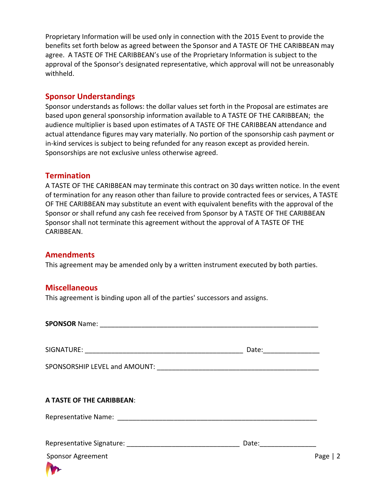Proprietary Information will be used only in connection with the 2015 Event to provide the benefits set forth below as agreed between the Sponsor and A TASTE OF THE CARIBBEAN may agree. A TASTE OF THE CARIBBEAN's use of the Proprietary Information is subject to the approval of the Sponsor's designated representative, which approval will not be unreasonably withheld.

## **Sponsor Understandings**

Sponsor understands as follows: the dollar values set forth in the Proposal are estimates are based upon general sponsorship information available to A TASTE OF THE CARIBBEAN; the audience multiplier is based upon estimates of A TASTE OF THE CARIBBEAN attendance and actual attendance figures may vary materially. No portion of the sponsorship cash payment or in-kind services is subject to being refunded for any reason except as provided herein. Sponsorships are not exclusive unless otherwise agreed.

## **Termination**

A TASTE OF THE CARIBBEAN may terminate this contract on 30 days written notice. In the event of termination for any reason other than failure to provide contracted fees or services, A TASTE OF THE CARIBBEAN may substitute an event with equivalent benefits with the approval of the Sponsor or shall refund any cash fee received from Sponsor by A TASTE OF THE CARIBBEAN Sponsor shall not terminate this agreement without the approval of A TASTE OF THE CARIBBEAN.

# **Amendments**

This agreement may be amended only by a written instrument executed by both parties.

#### **Miscellaneous**

This agreement is binding upon all of the parties' successors and assigns.

**SPONSOR** Name: \_\_\_\_\_\_\_\_\_\_\_\_\_\_\_\_\_\_\_\_\_\_\_\_\_\_\_\_\_\_\_\_\_\_\_\_\_\_\_\_\_\_\_\_\_\_\_\_\_\_\_\_\_\_\_\_\_\_

SIGNATURE: \_\_\_\_\_\_\_\_\_\_\_\_\_\_\_\_\_\_\_\_\_\_\_\_\_\_\_\_\_\_\_\_\_\_\_\_\_\_\_\_\_\_ Date:\_\_\_\_\_\_\_\_\_\_\_\_\_\_\_

Representative Signature: \_\_\_\_\_\_\_\_\_\_\_\_\_\_\_\_\_\_\_\_\_\_\_\_\_\_\_\_\_\_ Date:\_\_\_\_\_\_\_\_\_\_\_\_\_\_\_

SPONSORSHIP LEVEL and AMOUNT:

#### **A TASTE OF THE CARIBBEAN**:

Representative Name: \_\_\_\_\_\_\_\_\_\_\_\_\_\_\_\_\_\_\_\_\_\_\_\_\_\_\_\_\_\_\_\_\_\_\_\_\_\_\_\_\_\_\_\_\_\_\_\_\_\_\_\_\_

| Representative Signature: |  |  |
|---------------------------|--|--|
|---------------------------|--|--|

Sponsor Agreement Page | 2